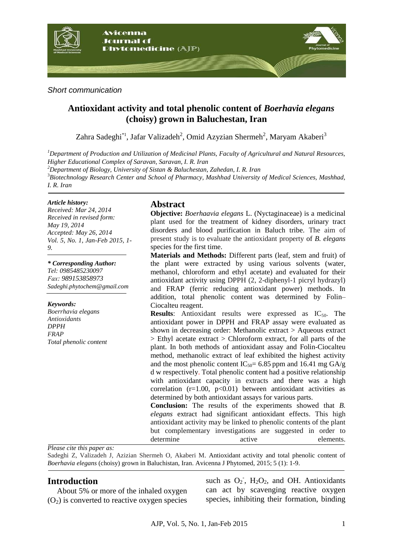

#### *Short communication*

# **Antioxidant activity and total phenolic content of** *Boerhavia elegans* **(choisy) grown in Baluchestan, Iran**

Zahra Sadeghi\*<sup>1</sup>, Jafar Valizadeh<sup>2</sup>, Omid Azyzian Shermeh<sup>2</sup>, Maryam Akaberi<sup>3</sup>

*<sup>1</sup>Department of Production and Utilization of Medicinal Plants, Faculty of Agricultural and Natural Resources, Higher Educational Complex of Saravan, Saravan, I. R. Iran*

*<sup>2</sup>Department of Biology, University of Sistan & Baluchestan, Zahedan, I. R. Iran*

<sup>3</sup>*Biotechnology Research Center and School of Pharmacy, Mashhad University of Medical Sciences, Mashhad, I. R. Iran*

#### *Article history:*

*Received: Mar 24, 2014 Received in revised form: May 19, 2014 Accepted: May 26, 2014 Vol. 5, No. 1, Jan-Feb 2015, 1- 9.*

*\* Corresponding Author: Tel: 0985485230097 xaF: 989153858973 Sadeghi.phytochem@gmail.com*

#### *Keywords:*

*Boerrhavia elegans Antioxidants DPPH FRAP Total phenolic content*

### **Abstract**

**Objective:** *Boerhaavia elegans* L. (Nyctaginaceae) is a medicinal plant used for the treatment of kidney disorders, urinary tract disorders and blood purification in Baluch tribe. The aim of present study is to evaluate the antioxidant property of *B. elegans* species for the first time.

**Materials and Methods:** Different parts (leaf, stem and fruit) of the plant were extracted by using various solvents (water, methanol, chloroform and ethyl acetate) and evaluated for their antioxidant activity using DPPH (2, 2-diphenyl-1 picryl hydrazyl) and FRAP (ferric reducing antioxidant power) methods. In addition, total phenolic content was determined by Folin– Ciocalteu reagent.

**Results:** Antioxidant results were expressed as  $IC_{50}$ . The antioxidant power in DPPH and FRAP assay were evaluated as shown in decreasing order: Methanolic extract > Aqueous extract > Ethyl acetate extract > Chloroform extract, for all parts of the plant. In both methods of antioxidant assay and Folin-Ciocalteu method, methanolic extract of leaf exhibited the highest activity and the most phenolic content  $IC_{50}= 6.85$  ppm and 16.41 mg GA/g d w respectively. Total phenolic content had a positive relationship with antioxidant capacity in extracts and there was a high correlation  $(r=1.00, p<0.01)$  between antioxidant activities as determined by both antioxidant assays for various parts.

**Conclusion:** The results of the experiments showed that *B. elegans* extract had significant antioxidant effects. This high antioxidant activity may be linked to phenolic contents of the plant but complementary investigations are suggested in order to determine active elements.

*Please cite this paper as:* 

Sadeghi Z, Valizadeh J, Azizian Shermeh O, Akaberi M. Antioxidant activity and total phenolic content of *Boerhavia elegans* (choisy) grown in Baluchistan, Iran. Avicenna J Phytomed, 2015; 5 (1): 1-9.

## **Introduction**

About 5% or more of the inhaled oxygen  $(O<sub>2</sub>)$  is converted to reactive oxygen species

such as  $O_2$ ,  $H_2O_2$ , and OH. Antioxidants can act by scavenging reactive oxygen species, inhibiting their formation, binding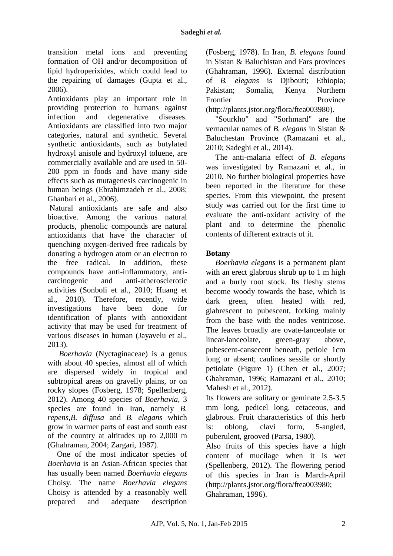transition metal ions and preventing formation of OH and/or decomposition of lipid hydroperixides, which could lead to the repairing of damages (Gupta et al., 2006).

Antioxidants play an important role in providing protection to humans against infection and degenerative diseases. Antioxidants are classified into two major categories, natural and synthetic. Several synthetic antioxidants, such as butylated hydroxyl anisole and hydroxyl toluene, are commercially available and are used in 50- 200 ppm in foods and have many side effects such as mutagenesis carcinogenic in human beings (Ebrahimzadeh et al., 2008; Ghanbari et al., 2006).

Natural antioxidants are safe and also bioactive. Among the various natural products, phenolic compounds are natural antioxidants that have the character of quenching oxygen-derived free radicals by donating a hydrogen atom or an electron to the free radical. In addition, these compounds have anti-inflammatory, anticarcinogenic and anti-atherosclerotic activities (Sonboli et al., 2010; Huang et al., 2010). Therefore, recently, wide investigations have been done for identification of plants with antioxidant activity that may be used for treatment of various diseases in human (Jayavelu et al., 2013).

*Boerhavia* (Nyctaginaceae) is a genus with [about 40 s](http://www.efloras.org/florataxon.aspx?flora_id=1&taxon_id=104164)pecies, almost all of which are dispersed widely in tropical and subtropical areas on gravelly plains, or on rocky slopes (Fosberg, 1978; Spellenberg, 2012). Among 40 species of *Boerhavia*, 3 species are found in Iran, namely *B*. *repens,B. diffusa* and *B. elegans* which grow in warmer parts of east and south east of the country at altitudes up to 2,000 m (Ghahraman, 2004; Zargari, 1987).

One of the most indicator species of *Boerhavia* is an Asian-African species that has usually been named *Boerhavia elegans*  Choisy. The name *Boerhavia elegans*  Choisy is attended by a reasonably well prepared and adequate description (Fosberg, 1978). In Iran, *B. elegans* found in Sistan & Baluchistan and Fars provinces (Ghahraman, 1996). External distribution of *B. elegans* is Djibouti; Ethiopia; Pakistan; Somalia, Kenya Northern Frontier Province [\(http://plants.jstor.org/flora/ftea003980\)](http://plants.jstor.org/flora/ftea003980).

"Sourkho" and "Sorhmard" are the vernacular names of *B. elegans* in Sistan & Baluchestan Province (Ramazani et al., 2010; Sadeghi et al., 2014).

The anti-malaria effect of *B. elegans* was investigated by Ramazani et al., in 2010. No further biological properties have been reported in the literature for these species. From this viewpoint, the present study was carried out for the first time to evaluate the anti-oxidant activity of the plant and to determine the phenolic contents of different extracts of it.

## **Botany**

*Boerhavia elegans* is a permanent plant with an erect glabrous shrub up to 1 m high and a burly root stock. Its fleshy stems become woody towards the base, which is dark green, often heated with red, glabrescent to pubescent, forking mainly from the base with the nodes ventricose. The leaves broadly are ovate-lanceolate or linear-lanceolate, green-gray above, pubescent-cansecent beneath, petiole 1cm long or absent; caulines sessile or shortly petiolate (Figure 1) (Chen et al., 2007; Ghahraman, 1996; Ramazani et al., 2010; Mahesh et al., 2012).

Its flowers are solitary or geminate 2.5-3.5 mm long, pedicel long, cetaceous, and glabrous. Fruit characteristics of this herb is: oblong, clavi form, 5[-angled,](http://zipcodezoo.com/glossary/angular.asp) puberulent, grooved (Parsa, 1980).

Also fruits of this species have a high content of [mucilage](http://zipcodezoo.com/glossary/mucilage.asp) when it is wet (Spellenberg, 2012). The flowering period of this species in Iran is March-April [\(http://plants.jstor.org/flora/ftea003980;](http://plants.jstor.org/flora/ftea003980;) Ghahraman, 1996).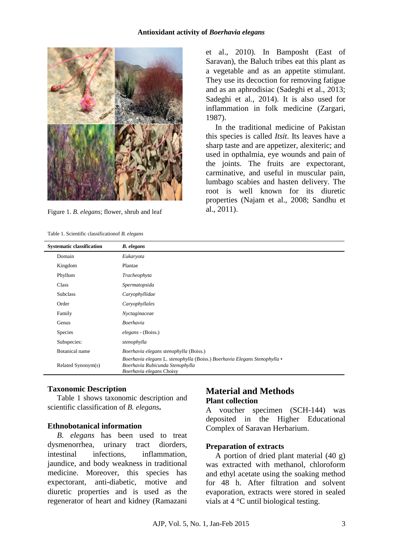

Figure 1. *B. elegans*; flower, shrub and leaf

| Table 1. Scientific classification of B. elegans |
|--------------------------------------------------|
|--------------------------------------------------|

et al., 2010). In Bamposht (East of Saravan), the Baluch tribes eat this plant as a vegetable and as an appetite stimulant. They use its decoction for removing fatigue and as an aphrodisiac (Sadeghi et al., 2013; Sadeghi et al., 2014). It is also used for inflammation in folk medicine (Zargari, 1987).

In the traditional medicine of Pakistan this species is called *Itsit*. Its leaves have a sharp taste and are appetizer, alexiteric; and used in opthalmia, eye wounds and pain of the joints. The fruits are expectorant, carminative, and useful in muscular pain, lumbago scabies and hasten delivery. The root is well known for its diuretic properties (Najam et al., 2008; Sandhu et al., 2011).

| <b>Systematic classification</b> | <b>B.</b> elegans                                                                                                                                |
|----------------------------------|--------------------------------------------------------------------------------------------------------------------------------------------------|
| Domain                           | Eukaryota                                                                                                                                        |
| Kingdom                          | Plantae                                                                                                                                          |
| Phyllum                          | Tracheophyta                                                                                                                                     |
| Class                            | Spermatopsida                                                                                                                                    |
| <b>Subclass</b>                  | Caryophyllidae                                                                                                                                   |
| Order                            | Caryophyllales                                                                                                                                   |
| Family                           | Nyctaginaceae                                                                                                                                    |
| Genus                            | Boerhavia                                                                                                                                        |
| <b>Species</b>                   | elegans - (Boiss.)                                                                                                                               |
| Subspecies:                      | stenophylla                                                                                                                                      |
| <b>Botanical</b> name            | Boerhavia elegans stenophylla (Boiss.)                                                                                                           |
| Related Synonym(s)               | Boerhavia elegans L. stenophylla (Boiss.) Boerhavia Elegans Stenophylla $\bullet$<br>Boerhavia Rubicunda Stenophylla<br>Boerhavia elegans Choisy |

#### **Taxonomic Description**

Table 1 shows taxonomic description and scientific classification of *B. elegans***.**

#### **Ethnobotanical information**

*B. elegans* has been used to treat dysmenorrhea, urinary tract diorders, intestinal infections, inflammation, jaundice, and body weakness in traditional medicine. Moreover, this species has expectorant, anti-diabetic, motive and diuretic properties and is used as the regenerator of heart and kidney (Ramazani

## **Material and Methods Plant collection**

A voucher specimen (SCH-144) was deposited in the Higher Educational Complex of Saravan Herbarium.

#### **Preparation of extracts**

A portion of dried plant material (40 g) was extracted with methanol, chloroform and ethyl acetate using the soaking method for 48 h. After filtration and solvent evaporation, extracts were stored in sealed vials at 4 °C until biological testing.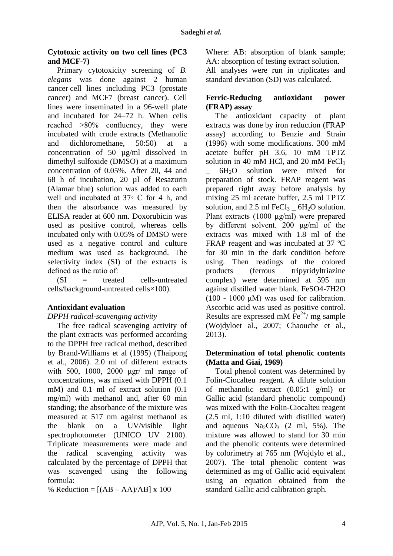### **Cytotoxic activity on two cell lines (PC3 and MCF-7)**

Primary cytotoxicity screening of *B. elegans* was done against 2 human cancer cell lines including PC3 [\(prostate](http://en.wikipedia.org/wiki/Prostate_cancer)  [cancer\)](http://en.wikipedia.org/wiki/Prostate_cancer) and MCF7 [\(breast cancer\)](http://en.wikipedia.org/wiki/Breast_cancer). Cell lines were inseminated in a 96-well plate and incubated for 24–72 h. When cells reached >80% confluency, they were incubated with crude extracts (Methanolic and dichloromethane, 50:50) at a concentration of 50 µg/ml dissolved in dimethyl sulfoxide (DMSO) at a maximum concentration of 0.05%. After 20, 44 and 68 h of incubation, 20 µl of Resazurin (Alamar blue) solution was added to each well and incubated at 37◦ C for 4 h, and then the absorbance was measured by ELISA reader at 600 nm. Doxorubicin was used as positive control, whereas cells incubated only with 0.05% of DMSO were used as a negative control and culture medium was used as background. The selectivity index (SI) of the extracts is defined as the ratio of:

 $(SI = \text{treated} \text{cells-untreated})$ cells/background-untreated cells×100).

## **Antioxidant evaluation**

## *DPPH radical-scavenging activity*

The free radical scavenging activity of the plant extracts was performed according to the DPPH free radical method, described by Brand-Williams et al (1995) (Thaipong et al., 2006). 2.0 ml of different extracts with 500, 1000, 2000 μgr/ ml range of concentrations, was mixed with DPPH (0.1 mM) and 0.1 ml of extract solution  $(0.1)$ mg/ml) with methanol and, after 60 min standing; the absorbance of the mixture was measured at 517 nm against methanol as the blank on a UV/visible light spectrophotometer (UNICO UV 2100). Triplicate measurements were made and the radical scavenging activity was calculated by the percentage of DPPH that was scavenged using the following formula:

% Reduction =  $[(AB - AA)/AB] \times 100$ 

Where: AB: absorption of blank sample; AA: absorption of testing extract solution.

All analyses were run in triplicates and standard deviation (SD) was calculated.

## **Ferric-Reducing antioxidant power (FRAP) assay**

The antioxidant capacity of plant extracts was done by iron reduction (FRAP assay) according to Benzie and Strain (1996) with some modifications. 300 mM acetate buffer pH 3.6, 10 mM TPTZ solution in 40 mM HCl, and 20 mM FeCl $_3$ 

 $6H<sub>2</sub>O$  solution were mixed for preparation of stock. FRAP reagent was prepared right away before analysis by mixing 25 ml acetate buffer, 2.5 ml TPTZ solution, and  $2.5$  ml FeCl<sub>3</sub>  $6H<sub>2</sub>O$  solution. Plant extracts (1000 μg/ml) were prepared by different solvent. 200 μg/ml of the extracts was mixed with 1.8 ml of the FRAP reagent and was incubated at 37 ºC for 30 min in the dark condition before using. Then readings of the colored products (ferrous tripyridyltriazine complex) were determined at 595 nm against distilled water blank. FeSO4-7H2O (100 - 1000 μM) was used for calibration. Ascorbic acid was used as positive control. Results are expressed mM  $Fe<sup>2+</sup>/mg$  sample (Wojdyloet al., 2007; Chaouche et al., 2013).

### **Determination of total phenolic contents (Matta and Giai, 1969)**

Total phenol content was determined by Folin-Ciocalteu reagent. A dilute solution of methanolic extract (0.05:1 g/ml) or Gallic acid (standard phenolic compound) was mixed with the Folin-Ciocalteu reagent (2.5 ml, 1:10 diluted with distilled water) and aqueous  $Na_2CO_3$  (2 ml, 5%). The mixture was allowed to stand for 30 min and the phenolic contents were determined by colorimetry at 765 nm (Wojdylo et al., 2007). The total phenolic content was determined as mg of Gallic acid equivalent using an equation obtained from the standard Gallic acid calibration graph.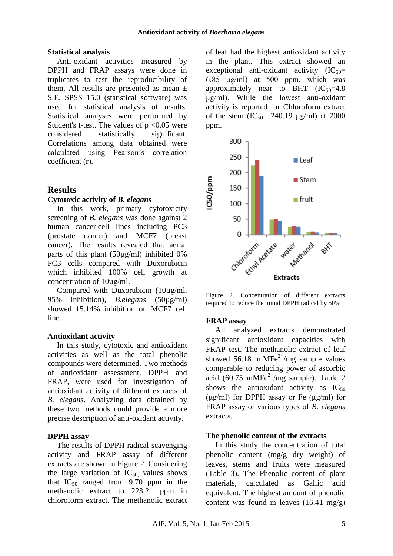#### **Statistical analysis**

Anti-oxidant activities measured by DPPH and FRAP assays were done in triplicates to test the reproducibility of them. All results are presented as mean  $\pm$ S.E. SPSS 15.0 (statistical software) was used for statistical analysis of results. Statistical analyses were performed by Student's t-test. The values of  $p < 0.05$  were considered statistically significant. Correlations among data obtained were calculated using Pearson's correlation coefficient (r).

## **Results**

#### **Cytotoxic activity of** *B. elegans*

In this work, primary cytotoxicity screening of *B. elegans* was done against 2 human cancer cell lines including PC3 [\(prostate cancer\)](http://en.wikipedia.org/wiki/Prostate_cancer) and MCF7 [\(breast](http://en.wikipedia.org/wiki/Breast_cancer)  [cancer\)](http://en.wikipedia.org/wiki/Breast_cancer). The results revealed that aerial parts of this plant (50µg/ml) inhibited 0% PC3 cells compared with Duxorubicin which inhibited 100% cell growth at concentration of 10µg/ml.

Compared with Duxorubicin (10µg/ml, 95% inhibition), *B.elegans* (50µg/ml) showed 15.14% inhibition on MCF7 cell line.

#### **Antioxidant activity**

In this study, cytotoxic and antioxidant activities as well as the total phenolic compounds were determined. Two methods of antioxidant assessment, DPPH and FRAP, were used for investigation of antioxidant activity of different extracts of *B. elegans*. Analyzing data obtained by these two methods could provide a more precise description of anti-oxidant activity.

#### **DPPH assay**

The results of DPPH radical-scavenging activity and FRAP assay of different extracts are shown in Figure 2. Considering the large variation of  $IC_{50}$  values shows that  $IC_{50}$  ranged from 9.70 ppm in the methanolic extract to 223.21 ppm in chloroform extract. The methanolic extract of leaf had the highest antioxidant activity in the plant. This extract showed an exceptional anti-oxidant activity  $(IC_{50} =$ 6.85 μg/ml) at 500 ppm, which was approximately near to BHT  $(IC_{50}=4.8)$ μg/ml). While the lowest anti-oxidant activity is reported for Chloroform extract of the stem  $(IC_{50} = 240.19 \text{ µg/ml})$  at 2000 ppm.



Figure 2. Concentration of different extracts required to reduce the initial DPPH radical by 50%

#### **FRAP assay**

All analyzed extracts demonstrated significant antioxidant capacities with FRAP test. The methanolic extract of leaf showed 56.18. mMFe<sup>2+</sup>/mg sample values comparable to reducing power of ascorbic acid (60.75 mMFe<sup>2+</sup>/mg sample). Table 2 shows the antioxidant activity as  $IC_{50}$ (μg/ml) for DPPH assay or Fe (μg/ml) for FRAP assay of various types of *B. elegans* extracts.

#### **The phenolic content of the extracts**

In this study the concentration of total phenolic content (mg/g dry weight) of leaves, stems and fruits were measured (Table 3). The Phenolic content of plant materials, calculated as Gallic acid equivalent. The highest amount of phenolic content was found in leaves  $(16.41 \text{ mg/g})$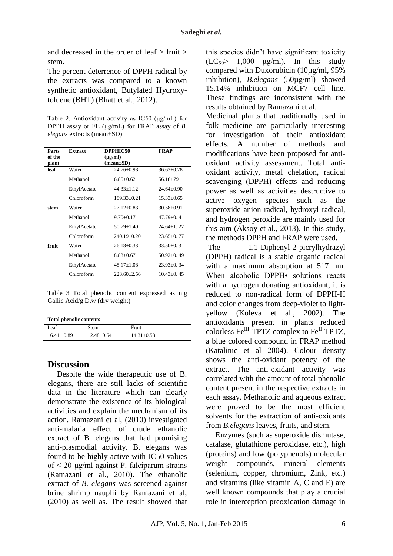and decreased in the order of leaf > fruit > stem.

The percent deterrence of DPPH radical by the extracts was compared to a known synthetic antioxidant, Butylated Hydroxytoluene (BHT) (Bhatt et al., 2012).

Table 2. Antioxidant activity as IC50 (μg/mL) for DPPH assay or FE (μg/mL) for FRAP assay of *B. elegans* extracts (mean±SD)

| Parts<br>of the<br>plant | <b>Extract</b> | DPPHIC50<br>$(\mu g/ml)$<br>$(mean \pm SD)$ | <b>FRAP</b>      |
|--------------------------|----------------|---------------------------------------------|------------------|
| leaf                     | Water          | $24.76 \pm 0.98$                            | $36.63 \pm 0.28$ |
|                          | Methanol       | $6.85 + 0.62$                               | $56.18 + 79$     |
|                          | EthylAcetate   | $44.33 \pm 1.12$                            | $24.64+0.90$     |
|                          | Chloroform     | $189.33 \pm 0.21$                           | $15.33 + 0.65$   |
| stem                     | Water          | $27.12 \pm 0.83$                            | $30.58 + 0.91$   |
|                          | Methanol       | $9.70 \pm 0.17$                             | $47.79 + 0.4$    |
|                          | EthylAcetate   | $50.79 \pm 1.40$                            | $24.64+1.27$     |
|                          | Chloroform     | $240.19 + 0.20$                             | $23.65+0.77$     |
| fruit                    | Water          | $26.18 + 0.33$                              | $33.50 \pm 0.3$  |
|                          | Methanol       | $8.83 + 0.67$                               | $50.92+0.49$     |
|                          | EthylAcetate   | $48.17 \pm 1.08$                            | $23.93+0.34$     |
|                          | Chloroform     | $223.60 + 2.56$                             | $10.43+0.45$     |

Table 3 Total phenolic content expressed as mg Gallic Acid/g D.w (dry weight)

| <b>Total phenolic contents</b> |                |                |  |  |
|--------------------------------|----------------|----------------|--|--|
| í eaf                          | <b>Stem</b>    | Fruit          |  |  |
| $16.41 \pm 0.89$               | $12.48 + 0.54$ | $14.31 + 0.58$ |  |  |

## **Discussion**

Despite the wide therapeutic use of B. elegans, there are still lacks of scientific data in the literature which can clearly demonstrate the existence of its biological activities and explain the mechanism of its action. Ramazani et al, (2010) investigated anti-malaria effect of crude ethanolic extract of B. elegans that had promising anti-plasmodial activity. B. elegans was found to be highly active with IC50 values of < 20 μg/ml against P. falciparum strains (Ramazani et al., 2010). The ethanolic extract of *B. elegans* was screened against brine shrimp nauplii by Ramazani et al, (2010) as well as. The result showed that this species didn't have significant toxicity  $(LC_{50} > 1,000 \text{ µg/ml})$ . In this study compared with Duxorubicin (10µg/ml, 95% inhibition), *B.elegans* (50µg/ml) showed 15.14% inhibition on MCF7 cell line. These findings are inconsistent with the results obtained by Ramazani et al.

Medicinal plants that traditionally used in folk medicine are particularly interesting for investigation of their antioxidant effects. A number of methods and modifications have been proposed for antioxidant activity assessment. Total antioxidant activity, metal chelation, radical scavenging (DPPH) effects and reducing power as well as activities destructive to active oxygen species such as the superoxide anion radical, hydroxyl radical, and hydrogen peroxide are mainly used for this aim (Aksoy et al., 2013). In this study, the methods DPPH and FRAP were used.

The 1,1-Diphenyl-2-picrylhydrazyl (DPPH) radical is a stable organic radical with a maximum absorption at 517 nm. When alcoholic DPPH• solutions reacts with a hydrogen donating antioxidant, it is reduced to non-radical form of DPPH-H and color changes from deep-violet to lightyellow (Koleva et al., 2002). The antioxidants present in plants reduced colorless  $\text{Fe}^{\text{III}}$ -TPTZ complex to  $\text{Fe}^{\text{II}}$ -TPTZ, a blue colored compound in FRAP method (Katalinic et al 2004). Colour density shows the anti-oxidant potency of the extract. The anti-oxidant activity was correlated with the amount of total phenolic content present in the respective extracts in each assay. Methanolic and aqueous extract were proved to be the most efficient solvents for the extraction of anti-oxidants from *B.elegans* leaves, fruits, and stem.

Enzymes (such as superoxide dismutase, catalase, glutathione peroxidase, etc.), high (proteins) and low (polyphenols) molecular weight compounds, mineral elements (selenium, copper, chromium, Zink, etc.) and vitamins (like vitamin A, C and E) are well known compounds that play a crucial role in interception preoxidation damage in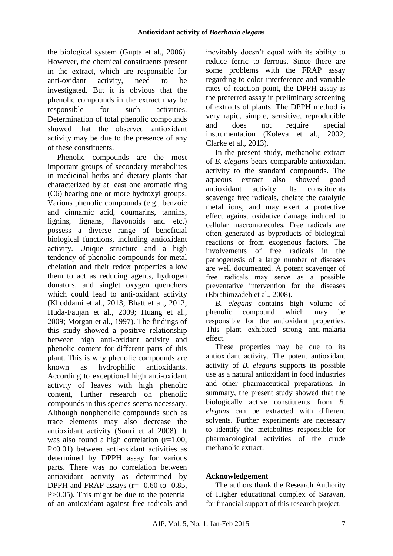the biological system (Gupta et al., 2006). However, the chemical constituents present in the extract, which are responsible for anti-oxidant activity, need to be investigated. But it is obvious that the phenolic compounds in the extract may be responsible for such activities. Determination of total phenolic compounds showed that the observed antioxidant activity may be due to the presence of any of these constituents.

Phenolic compounds are the most important groups of secondary metabolites in medicinal herbs and dietary plants that characterized by at least one aromatic ring (C6) bearing one or more hydroxyl groups. Various phenolic compounds (e.g., benzoic and cinnamic acid, coumarins, tannins, lignins, lignans, flavonoids and etc.) possess a diverse range of beneficial biological functions, including antioxidant activity. Unique structure and a high tendency of phenolic compounds for metal chelation and their redox properties allow them to act as reducing agents, hydrogen donators, and singlet oxygen quenchers which could lead to anti-oxidant activity (Khoddami et al., 2013; Bhatt et al., 2012; Huda-Faujan et al., 2009; Huang et al., 2009; Morgan et al., 1997). The findings of this study showed a positive relationship between high anti-oxidant activity and phenolic content for different parts of this plant. This is why phenolic compounds are known as hydrophilic antioxidants. According to exceptional high anti-oxidant activity of leaves with high phenolic content, further research on phenolic compounds in this species seems necessary. Although nonphenolic compounds such as trace elements may also decrease the antioxidant activity (Souri et al 2008). It was also found a high correlation  $(r=1.00)$ . P<0.01) between anti-oxidant activities as determined by DPPH assay for various parts. There was no correlation between antioxidant activity as determined by DPPH and FRAP assays ( $r = -0.60$  to  $-0.85$ , P>0.05). This might be due to the potential of an antioxidant against free radicals and

inevitably doesn't equal with its ability to reduce ferric to ferrous. Since there are some problems with the FRAP assay regarding to color interference and variable rates of reaction point, the DPPH assay is the preferred assay in preliminary screening of extracts of plants. The DPPH method is very rapid, simple, sensitive, reproducible and does not require special instrumentation (Koleva et al., 2002; Clarke et al., 2013).

In the present study, methanolic extract of *B. elegans* bears comparable antioxidant activity to the standard compounds. The aqueous extract also showed good antioxidant activity. Its constituents scavenge free radicals, chelate the catalytic metal ions, and may exert a protective effect against oxidative damage induced to cellular macromolecules. Free radicals are often generated as byproducts of biological reactions or from exogenous factors. The involvements of free radicals in the pathogenesis of a large number of diseases are well documented. A potent scavenger of free radicals may serve as a possible preventative intervention for the diseases (Ebrahimzadeh et al., 2008).

*B. elegans* contains high volume of phenolic compound which may be responsible for the antioxidant properties. This plant exhibited strong anti-malaria effect.

These properties may be due to its antioxidant activity. The potent antioxidant activity of *B. elegans* supports its possible use as a natural antioxidant in food industries and other pharmaceutical preparations. In summary, the present study showed that the biologically active constituents from *B. elegans* can be extracted with different solvents. Further experiments are necessary to identify the metabolites responsible for pharmacological activities of the crude methanolic extract.

## **Acknowledgement**

The authors thank the Research Authority of Higher educational complex of Saravan, for financial support of this research project.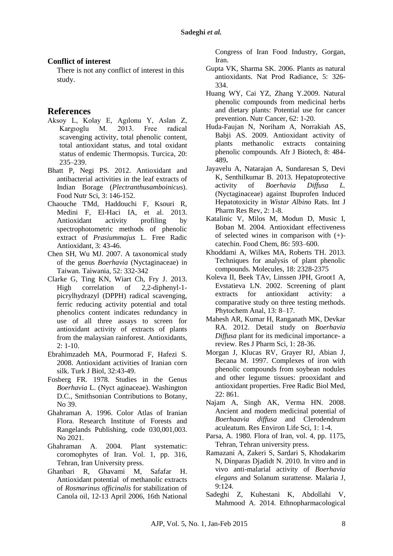#### **Conflict of interest**

There is not any conflict of interest in this study.

### **References**

- Aksoy L, Kolay E, Agılonu Y, Aslan Z, Kargıoglu M. 2013. Free radical scavenging activity, total phenolic content, total antioxidant status, and total oxidant status of endemic Thermopsis. Turcica, [20:](http://www.sciencedirect.com/science/journal/1319562X/20/3) 235–239.
- Bhatt P, Negi PS. 2012. Antioxidant and antibacterial activities in the leaf extracts of Indian Borage (*Plectranthusamboinicu*s). Food Nutr Sci, 3: 146-152.
- Chaouche TMd, Haddouchi F, Ksouri R, Medini F, El-Haci IA, et al. 2013. Antioxidant activity profiling by spectrophotometric methods of phenolic extract of *Prasiummajus* L. Free Radic Antioxidant, 3: 43-46.
- Chen SH, Wu MJ. 2007. A taxonomical study of the genus *Boerhavia* (Nyctaginaceae) in Taiwan. Taiwania, 52: 332-342
- Clarke G, Ting KN, Wiart Ch, Fry J. 2013. High correlation of 2,2-diphenyl-1 picrylhydrazyl (DPPH) radical scavenging, ferric reducing activity potential and total phenolics content indicates redundancy in use of all three assays to screen for antioxidant activity of extracts of plants from the malaysian rainforest. Antioxidants, 2: 1-10.
- Ebrahimzadeh MA, Pourmorad F, Hafezi S. 2008. Antioxidant activities of Iranian corn silk. Turk J Biol, 32:43-49.
- Fosberg FR. 1978. Studies in the Genus *Boerhavia* L. (Nyct aginaceae). Washington D.C., Smithsonian Contributions to Botany, No 39.
- Ghahraman A. 1996. Color Atlas of Iranian Flora. Research Institute of Forests and Rangelands Publishing, code 030,001,003. No 2021.
- Ghahraman A. 2004. Plant systematic: coromophytes of Iran. Vol. 1, pp. 316, Tehran, Iran University press.
- Ghanbari R, Ghavami M, Safafar H. Antioxidant potential of methanolic extracts of *Rosmarinus officinalis* for stabilization of Canola oil, 12-13 April 2006, 16th National

Congress of Iran Food Industry, Gorgan, Iran.

- Gupta VK, Sharma SK. 2006. Plants as natural antioxidants. Nat Prod Radiance, 5: 326- 334.
- Huang WY, Cai YZ, Zhang Y.2009. Natural phenolic compounds from medicinal herbs and dietary plants: Potential use for cancer prevention. Nutr Cancer, 62: 1-20.
- Huda-Faujan N, Noriham A, Norrakiah AS, Babji AS. 2009. Antioxidant activity of plants methanolic extracts containing phenolic compounds. Afr J Biotech, 8: 484- 489**.**
- Jayavelu A, Natarajan A, Sundaresan S, Devi K, Senthilkumar B. 2013. Hepatoprotective activity of *Boerhavia Diffusa L.*  (Nyctaginaceae) against Ibuprofen Induced Hepatotoxicity in *Wistar Albino* Rats. Int J Pharm Res Rev, 2: 1-8.
- Katalinic V, Milos M, Modun D, Music I, Boban M. 2004. Antioxidant effectiveness of selected wines in comparison with (+) catechin. Food Chem, 86: 593–600.
- Khoddami A, Wilkes MA, Roberts TH. 2013. Techniques for analysis of plant phenolic compounds*.* Molecules, 18: 2328-2375
- Koleva II, Beek TAv, Linssen JPH, Groot1 A, Evstatieva LN. 2002. Screening of plant extracts for antioxidant activity: a comparative study on three testing methods*.*  Phytochem Anal, 13: 8–17.
- Mahesh AR, Kumar H, Ranganath MK, Devkar RA. 2012. Detail study on *Boerhavia Diffusa* plant for its medicinal importance- a review. Res J Pharm Sci, 1: 28-36.
- Morgan J, Klucas RV, Grayer RJ, Abian J, Becana M. 1997. Complexes of iron with phenolic compounds from soybean nodules and other legume tissues: prooxidant and antioxidant properties. Free Radic Biol Med, 22: 861.
- Najam A, Singh AK, Verma HN. 2008. Ancient and modern medicinal potential of *Boerhaavia diffusa* and Clerodendrum aculeatum. Res Environ Life Sci, 1: 1-4.
- Parsa, A. 1980. Flora of Iran, vol. 4, pp. 1175, Tehran, Tehran university press.
- Ramazani A, Zakeri S, Sardari S, Khodakarim N, Dinparas Djadidt N. 2010. In vitro and in vivo anti-malarial activity of *Boerhavia elegans* and Solanum surattense*.* Malaria J, 9:124.
- Sadeghi Z, Kuhestani K, Abdollahi V, Mahmood A. 2014. Ethnopharmacological